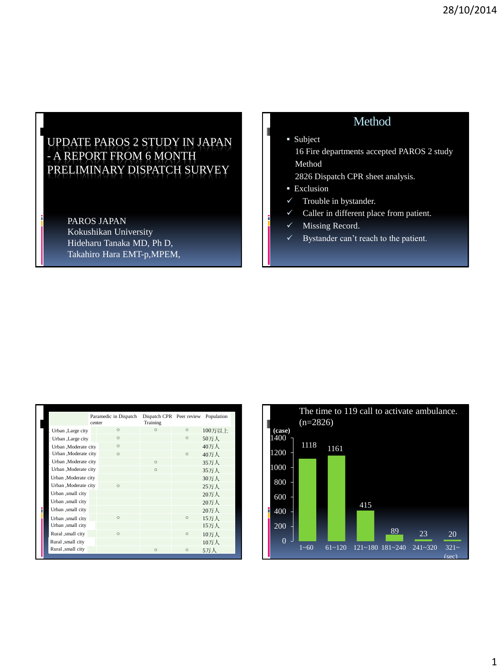## UPDATE PAROS 2 STUDY IN JAPAN - A REPORT FROM 6 MONTH PRELIMINARY DISPATCH SURVEY

PAROS JAPAN Kokushikan University Hideharu Tanaka MD, Ph D, Takahiro Hara EMT-p,MPEM,

## Method

**Subject** 

 16 Fire departments accepted PAROS 2 study Method

2826 Dispatch CPR sheet analysis.

- **Exclusion**
- $\checkmark$  Trouble in bystander.
- $\checkmark$  Caller in different place from patient.
- $\checkmark$  Missing Record.
- $\checkmark$  Bystander can't reach to the patient.

| II |                       | Paramedic in Dispatch<br>center | Dispatch CPR Peer review<br>Training |          | Population |
|----|-----------------------|---------------------------------|--------------------------------------|----------|------------|
|    | Urban ,Large city     | $\Omega$                        | $\Omega$                             | $\circ$  | 100万以上     |
|    | Urban ,Large city     | $\circ$                         |                                      | $\circ$  | 50万人       |
|    | Urban .Moderate city  | $\Omega$                        |                                      |          | 40万人       |
|    | Urban ,Moderate city  | $\Omega$                        |                                      | $\Omega$ | 40万人       |
|    | Urban , Moderate city |                                 | $\Omega$                             |          | 35万人       |
|    | Urban ,Moderate city  |                                 | $\Omega$                             |          | 35万人       |
|    | Urban ,Moderate city  |                                 |                                      |          | 30万人       |
|    | Urban , Moderate city | $\Omega$                        |                                      |          | 25万人       |
|    | Urban ,small city     |                                 |                                      |          | 20万人       |
|    | Urban ,small city     |                                 |                                      |          | 20万人       |
|    | Urban ,small city     |                                 |                                      |          | 20万人       |
|    | Urban ,small city     | $\Omega$                        |                                      | $\Omega$ | 15万人       |
|    | Urban ,small city     |                                 |                                      |          | 15万人       |
|    | Rural ,small city     | $\Omega$                        |                                      | $\circ$  | 10万人       |
|    | Rural ,small city     |                                 |                                      |          | 10万人       |
|    | Rural ,small city     |                                 | $\Omega$                             | $\circ$  | 5万人        |

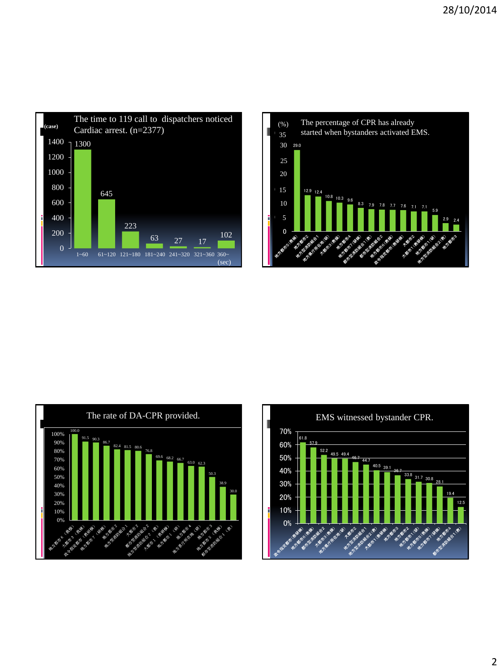